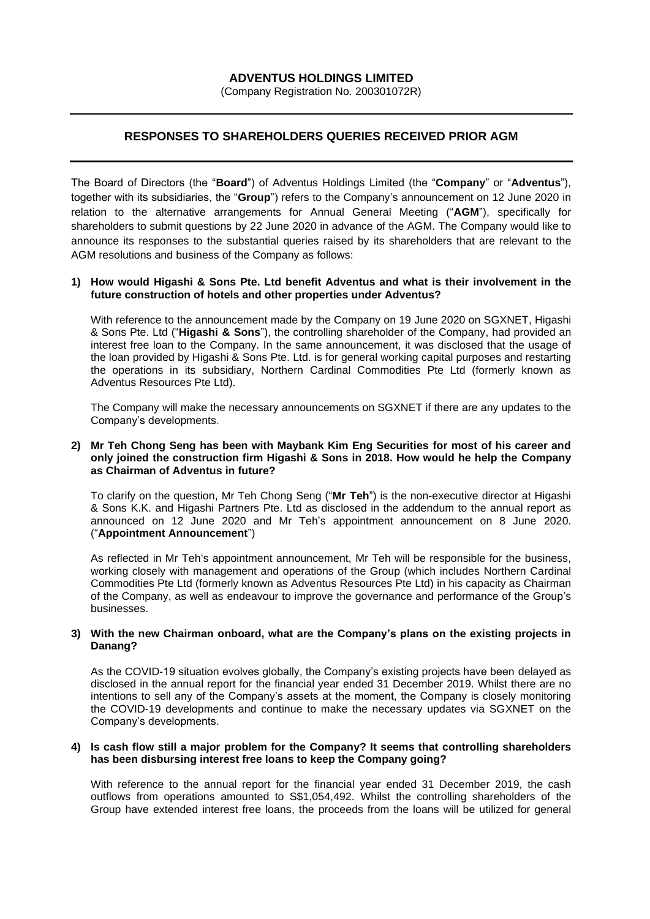## **ADVENTUS HOLDINGS LIMITED**

(Company Registration No. 200301072R)

# **RESPONSES TO SHAREHOLDERS QUERIES RECEIVED PRIOR AGM**

The Board of Directors (the "**Board**") of Adventus Holdings Limited (the "**Company**" or "**Adventus**"), together with its subsidiaries, the "**Group**") refers to the Company's announcement on 12 June 2020 in relation to the alternative arrangements for Annual General Meeting ("**AGM**"), specifically for shareholders to submit questions by 22 June 2020 in advance of the AGM. The Company would like to announce its responses to the substantial queries raised by its shareholders that are relevant to the AGM resolutions and business of the Company as follows:

### **1) How would Higashi & Sons Pte. Ltd benefit Adventus and what is their involvement in the future construction of hotels and other properties under Adventus?**

With reference to the announcement made by the Company on 19 June 2020 on SGXNET, Higashi & Sons Pte. Ltd ("**Higashi & Sons**"), the controlling shareholder of the Company, had provided an interest free loan to the Company. In the same announcement, it was disclosed that the usage of the loan provided by Higashi & Sons Pte. Ltd. is for general working capital purposes and restarting the operations in its subsidiary, Northern Cardinal Commodities Pte Ltd (formerly known as Adventus Resources Pte Ltd).

The Company will make the necessary announcements on SGXNET if there are any updates to the Company's developments.

#### **2) Mr Teh Chong Seng has been with Maybank Kim Eng Securities for most of his career and only joined the construction firm Higashi & Sons in 2018. How would he help the Company as Chairman of Adventus in future?**

To clarify on the question, Mr Teh Chong Seng ("**Mr Teh**") is the non-executive director at Higashi & Sons K.K. and Higashi Partners Pte. Ltd as disclosed in the addendum to the annual report as announced on 12 June 2020 and Mr Teh's appointment announcement on 8 June 2020. ("**Appointment Announcement**")

As reflected in Mr Teh's appointment announcement, Mr Teh will be responsible for the business, working closely with management and operations of the Group (which includes Northern Cardinal Commodities Pte Ltd (formerly known as Adventus Resources Pte Ltd) in his capacity as Chairman of the Company, as well as endeavour to improve the governance and performance of the Group's businesses.

#### **3) With the new Chairman onboard, what are the Company's plans on the existing projects in Danang?**

As the COVID-19 situation evolves globally, the Company's existing projects have been delayed as disclosed in the annual report for the financial year ended 31 December 2019. Whilst there are no intentions to sell any of the Company's assets at the moment, the Company is closely monitoring the COVID-19 developments and continue to make the necessary updates via SGXNET on the Company's developments.

#### **4) Is cash flow still a major problem for the Company? It seems that controlling shareholders has been disbursing interest free loans to keep the Company going?**

With reference to the annual report for the financial year ended 31 December 2019, the cash outflows from operations amounted to S\$1,054,492. Whilst the controlling shareholders of the Group have extended interest free loans, the proceeds from the loans will be utilized for general